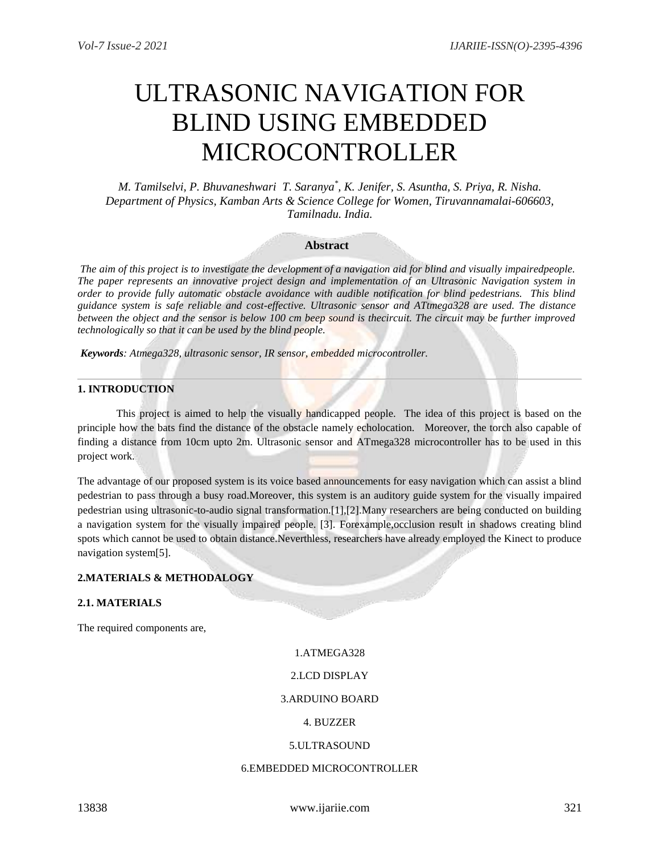# ULTRASONIC NAVIGATION FOR BLIND USING EMBEDDED MICROCONTROLLER

*M. Tamilselvi, P. Bhuvaneshwari T. Saranya\* , K. Jenifer, S. Asuntha, S. Priya, R. Nisha. Department of Physics, Kamban Arts & Science College for Women, Tiruvannamalai-606603, Tamilnadu. India.*

## **Abstract**

*The aim of this project is to investigate the development of a navigation aid for blind and visually impairedpeople. The paper represents an innovative project design and implementation of an Ultrasonic Navigation system in order to provide fully automatic obstacle avoidance with audible notification for blind pedestrians. This blind guidance system is safe reliable and cost-effective. Ultrasonic sensor and ATtmega328 are used. The distance between the object and the sensor is below 100 cm beep sound is thecircuit. The circuit may be further improved technologically so that it can be used by the blind people.*

*Keywords: Atmega328, ultrasonic sensor, IR sensor, embedded microcontroller.*

## **1. INTRODUCTION**

This project is aimed to help the visually handicapped people. The idea of this project is based on the principle how the bats find the distance of the obstacle namely echolocation. Moreover, the torch also capable of finding a distance from 10cm upto 2m. Ultrasonic sensor and ATmega328 microcontroller has to be used in this project work.

The advantage of our proposed system is its voice based announcements for easy navigation which can assist a blind pedestrian to pass through a busy road.Moreover, this system is an auditory guide system for the visually impaired pedestrian using ultrasonic-to-audio signal transformation.[1],[2].Many researchers are being conducted on building a navigation system for the visually impaired people. [3]. Forexample,occlusion result in shadows creating blind spots which cannot be used to obtain distance.Neverthless, researchers have already employed the Kinect to produce navigation system[5].

## **2.MATERIALS & METHODALOGY**

## **2.1. MATERIALS**

The required components are,

#### 1.ATMEGA328

## 2.LCD DISPLAY

#### 3.ARDUINO BOARD

## 4. BUZZER

#### 5.ULTRASOUND

#### 6.EMBEDDED MICROCONTROLLER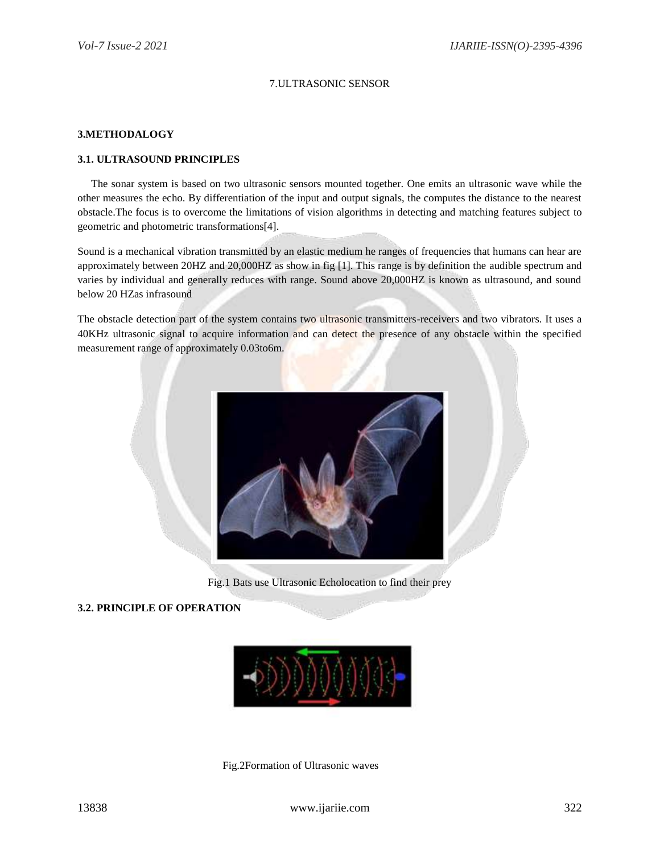# 7.ULTRASONIC SENSOR

## **3.METHODALOGY**

## **3.1. ULTRASOUND PRINCIPLES**

 The sonar system is based on two ultrasonic sensors mounted together. One emits an ultrasonic wave while the other measures the echo. By differentiation of the input and output signals, the computes the distance to the nearest obstacle.The focus is to overcome the limitations of vision algorithms in detecting and matching features subject to geometric and photometric transformations[4].

Sound is a mechanical vibration transmitted by an elastic medium he ranges of frequencies that humans can hear are approximately between 20HZ and 20,000HZ as show in fig [1]. This range is by definition the audible spectrum and varies by individual and generally reduces with range. Sound above 20,000HZ is known as ultrasound, and sound below 20 HZas infrasound

The obstacle detection part of the system contains two ultrasonic transmitters-receivers and two vibrators. It uses a 40KHz ultrasonic signal to acquire information and can detect the presence of any obstacle within the specified measurement range of approximately 0.03to6m.



Fig.1 Bats use Ultrasonic Echolocation to find their prey

## **3.2. PRINCIPLE OF OPERATION**



Fig.2Formation of Ultrasonic waves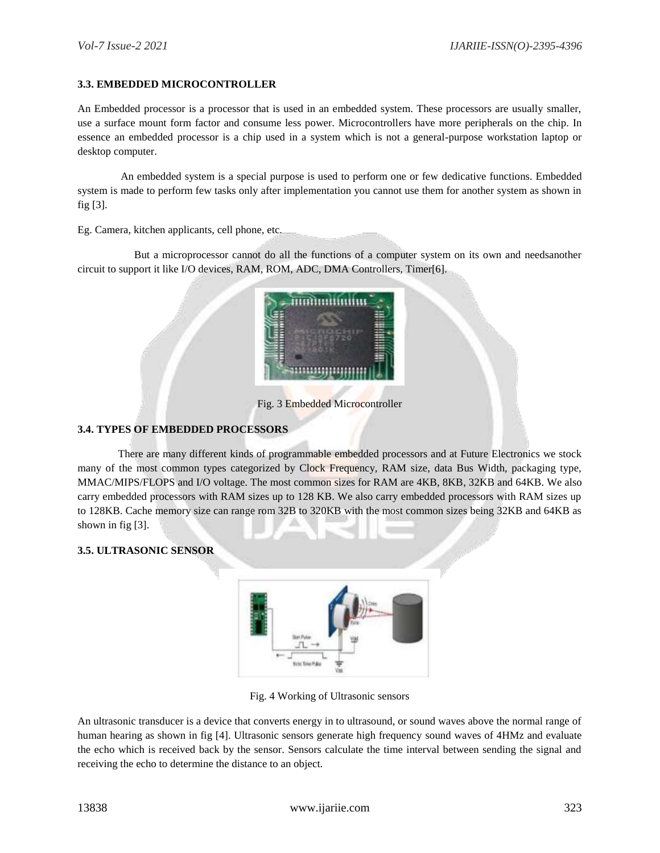# **3.3. EMBEDDED MICROCONTROLLER**

An Embedded processor is a processor that is used in an embedded system. These processors are usually smaller, use a surface mount form factor and consume less power. Microcontrollers have more peripherals on the chip. In essence an embedded processor is a chip used in a system which is not a general-purpose workstation laptop or desktop computer.

 An embedded system is a special purpose is used to perform one or few dedicative functions. Embedded system is made to perform few tasks only after implementation you cannot use them for another system as shown in fig [3].

Eg. Camera, kitchen applicants, cell phone, etc.

 But a microprocessor cannot do all the functions of a computer system on its own and needsanother circuit to support it like I/O devices, RAM, ROM, ADC, DMA Controllers, Timer[6].



Fig. 3 Embedded Microcontroller

# **3.4. TYPES OF EMBEDDED PROCESSORS**

 There are many different kinds of programmable embedded processors and at Future Electronics we stock many of the most common types categorized by Clock Frequency, RAM size, data Bus Width, packaging type, MMAC/MIPS/FLOPS and I/O voltage. The most common sizes for RAM are 4KB, 8KB, 32KB and 64KB. We also carry embedded processors with RAM sizes up to 128 KB. We also carry embedded processors with RAM sizes up to 128KB. Cache memory size can range rom 32B to 320KB with the most common sizes being 32KB and 64KB as shown in fig [3].

## **3.5. ULTRASONIC SENSOR**



Fig. 4 Working of Ultrasonic sensors

An ultrasonic transducer is a device that converts energy in to ultrasound, or sound waves above the normal range of human hearing as shown in fig [4]. Ultrasonic sensors generate high frequency sound waves of 4HMz and evaluate the echo which is received back by the sensor. Sensors calculate the time interval between sending the signal and receiving the echo to determine the distance to an object.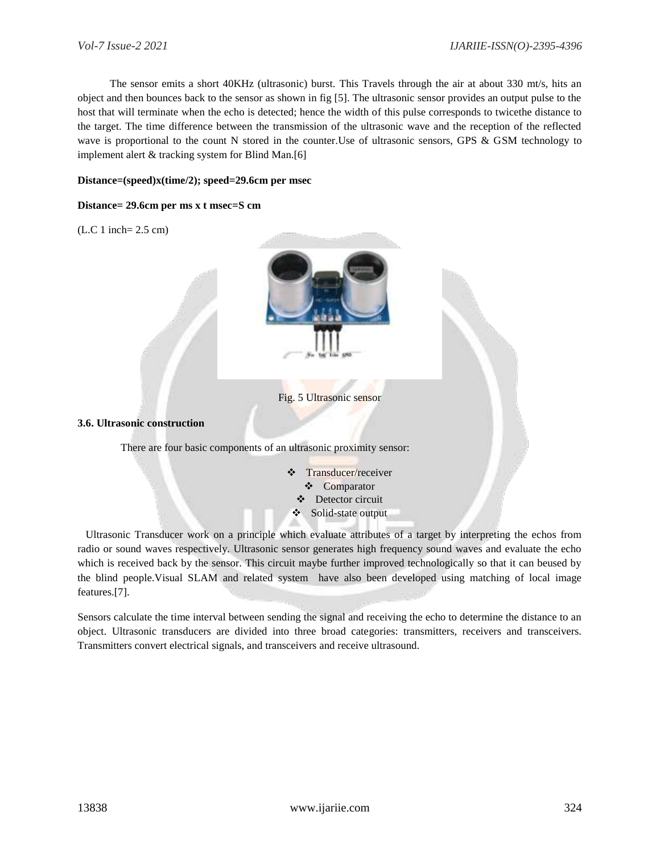The sensor emits a short 40KHz (ultrasonic) burst. This Travels through the air at about 330 mt/s, hits an object and then bounces back to the sensor as shown in fig [5]. The ultrasonic sensor provides an output pulse to the host that will terminate when the echo is detected; hence the width of this pulse corresponds to twicethe distance to the target. The time difference between the transmission of the ultrasonic wave and the reception of the reflected wave is proportional to the count N stored in the counter.Use of ultrasonic sensors, GPS & GSM technology to implement alert & tracking system for Blind Man.[6]

## **Distance=(speed)x(time/2); speed=29.6cm per msec**

## **Distance= 29.6cm per ms x t msec=S cm**

(L.C 1 inch= 2.5 cm)



Fig. 5 Ultrasonic sensor

#### **3.6. Ultrasonic construction**

There are four basic components of an ultrasonic proximity sensor:

 Transducer/receiver ❖ Comparator Detector circuit Solid-state output

 Ultrasonic Transducer work on a principle which evaluate attributes of a target by interpreting the echos from radio or sound waves respectively. Ultrasonic sensor generates high frequency sound waves and evaluate the echo which is received back by the sensor. This circuit maybe further improved technologically so that it can beused by the blind people.Visual SLAM and related system have also been developed using matching of local image features.[7].

Sensors calculate the time interval between sending the signal and receiving the echo to determine the distance to an object. Ultrasonic transducers are divided into three broad categories: transmitters, receivers and transceivers. Transmitters convert electrical signals, and transceivers and receive ultrasound.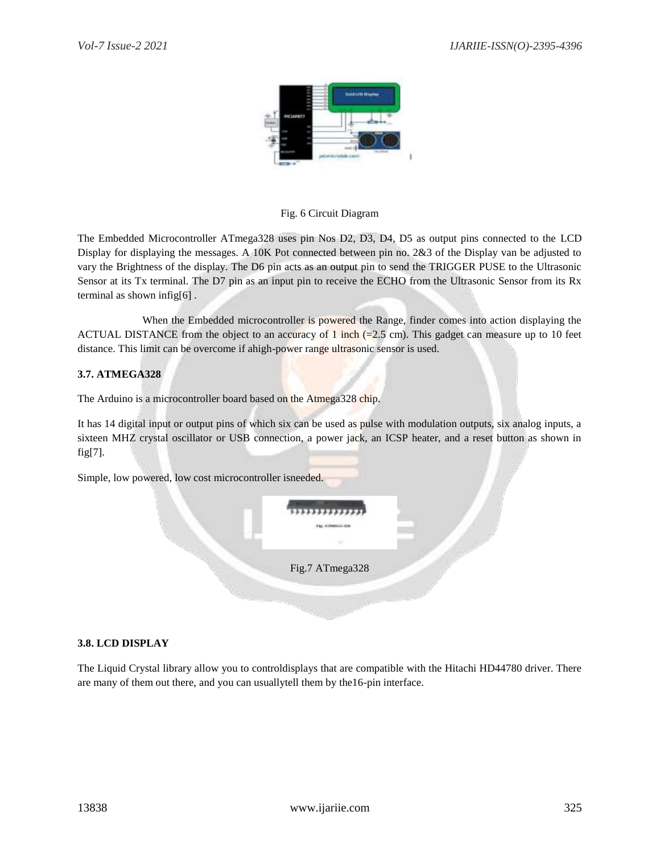

# Fig. 6 Circuit Diagram

The Embedded Microcontroller ATmega328 uses pin Nos D2, D3, D4, D5 as output pins connected to the LCD Display for displaying the messages. A 10K Pot connected between pin no. 2&3 of the Display van be adjusted to vary the Brightness of the display. The D6 pin acts as an output pin to send the TRIGGER PUSE to the Ultrasonic Sensor at its Tx terminal. The D7 pin as an input pin to receive the ECHO from the Ultrasonic Sensor from its Rx terminal as shown infig[6] .

 When the Embedded microcontroller is powered the Range, finder comes into action displaying the ACTUAL DISTANCE from the object to an accuracy of 1 inch  $(=2.5 \text{ cm})$ . This gadget can measure up to 10 feet distance. This limit can be overcome if ahigh-power range ultrasonic sensor is used.

# **3.7. ATMEGA328**

The Arduino is a microcontroller board based on the Atmega328 chip.

It has 14 digital input or output pins of which six can be used as pulse with modulation outputs, six analog inputs, a sixteen MHZ crystal oscillator or USB connection, a power jack, an ICSP heater, and a reset button as shown in fig[7].

Simple, low powered, low cost microcontroller isneeded.

| Fig.7 ATmega328 |  |
|-----------------|--|
|                 |  |

## **3.8. LCD DISPLAY**

The Liquid Crystal library allow you to controldisplays that are compatible with the Hitachi HD44780 driver. There are many of them out there, and you can usuallytell them by the16-pin interface.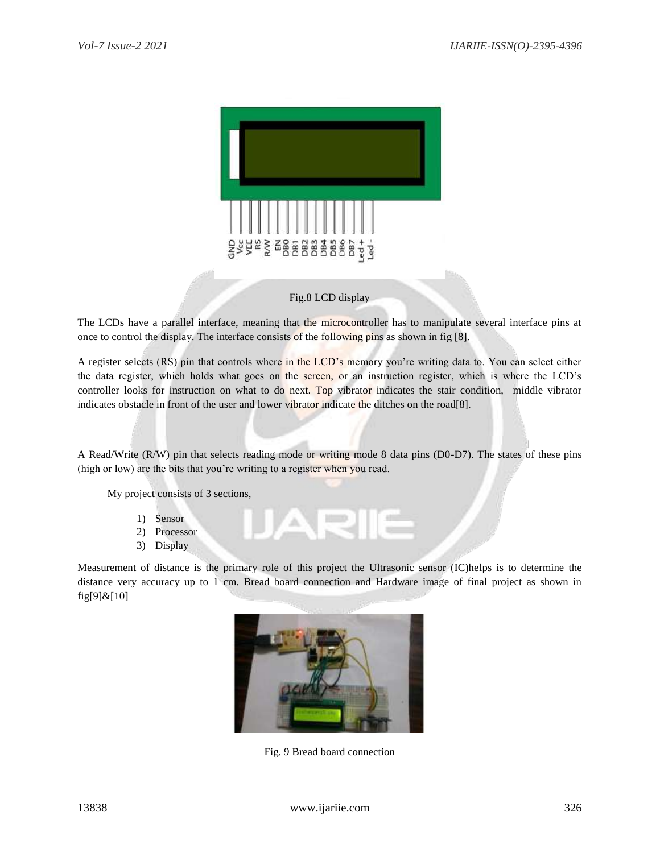

## Fig.8 LCD display

The LCDs have a parallel interface, meaning that the microcontroller has to manipulate several interface pins at once to control the display. The interface consists of the following pins as shown in fig [8].

A register selects (RS) pin that controls where in the LCD's memory you're writing data to. You can select either the data register, which holds what goes on the screen, or an instruction register, which is where the LCD's controller looks for instruction on what to do next. Top vibrator indicates the stair condition, middle vibrator indicates obstacle in front of the user and lower vibrator indicate the ditches on the road[8].

A Read/Write (R/W) pin that selects reading mode or writing mode 8 data pins (D0-D7). The states of these pins (high or low) are the bits that you're writing to a register when you read.

 $\Delta$ 

My project consists of 3 sections,

- 1) Sensor
- 2) Processor
- 3) Display

Measurement of distance is the primary role of this project the Ultrasonic sensor (IC)helps is to determine the distance very accuracy up to 1 cm. Bread board connection and Hardware image of final project as shown in fig[9]&[10]



Fig. 9 Bread board connection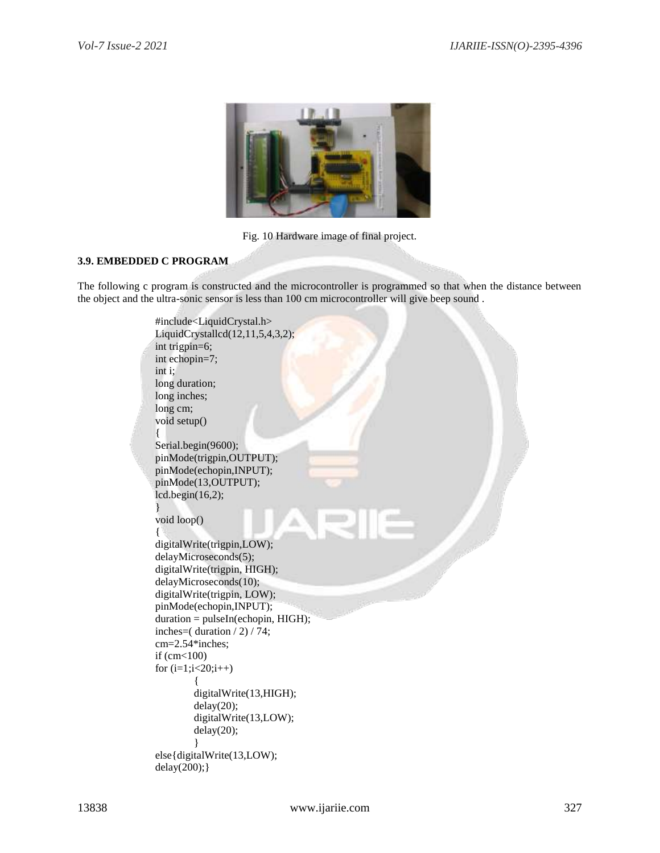

Fig. 10 Hardware image of final project.

# **3.9. EMBEDDED C PROGRAM**

The following c program is constructed and the microcontroller is programmed so that when the distance between the object and the ultra-sonic sensor is less than 100 cm microcontroller will give beep sound .

```
#include<LiquidCrystal.h>
LiquidCrystallcd(12,11,5,4,3,2);
int trigpin=6;
int echopin=7;
int i;
long duration;
long inches;
long cm;
void setup()
{
Serial.begin(9600);
pinMode(trigpin,OUTPUT);
pinMode(echopin,INPUT);
pinMode(13,OUTPUT);
lcd.begin(16,2);
}
void loop()
{
digitalWrite(trigpin,LOW);
delayMicroseconds(5);
digitalWrite(trigpin, HIGH);
delayMicroseconds(10);
digitalWrite(trigpin, LOW);
pinMode(echopin,INPUT);
duration = pulseIn(echopin, HIGH);inches=( duration / 2) / 74;
cm=2.54*inches;
if (cm<100)
for (i=1; i<20; i++){
        digitalWrite(13,HIGH);
        delay(20);
        digitalWrite(13,LOW);
        delay(20);
        }
else{digitalWrite(13,LOW);
delay(200);}
```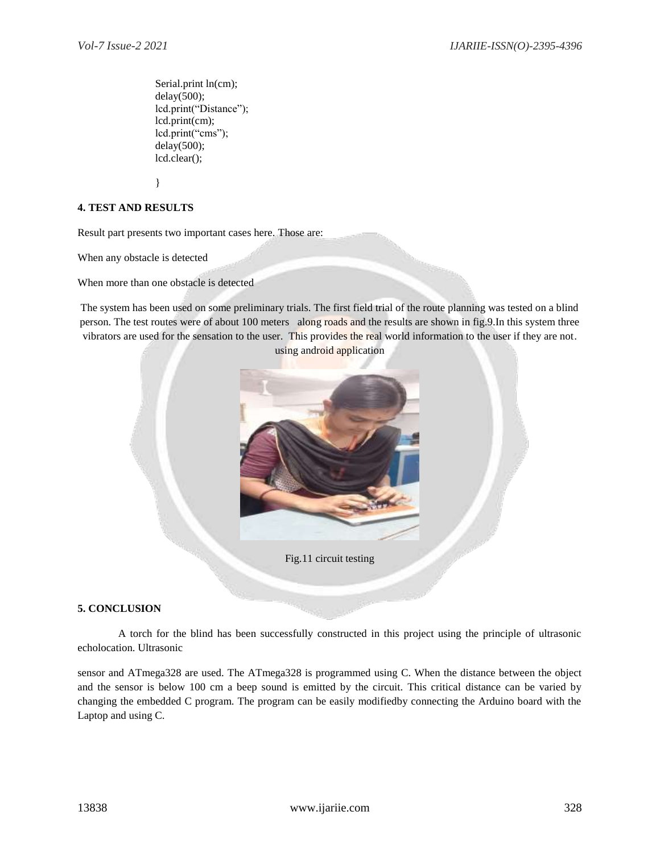Serial.print ln(cm); delay(500); lcd.print("Distance"); lcd.print(cm); lcd.print("cms"); delay(500); lcd.clear();

}

## **4. TEST AND RESULTS**

Result part presents two important cases here. Those are:

When any obstacle is detected

When more than one obstacle is detected

The system has been used on some preliminary trials. The first field trial of the route planning was tested on a blind person. The test routes were of about 100 meters along roads and the results are shown in fig.9.In this system three vibrators are used for the sensation to the user. This provides the real world information to the user if they are not. using android application



Fig.11 circuit testing

## **5. CONCLUSION**

 A torch for the blind has been successfully constructed in this project using the principle of ultrasonic echolocation. Ultrasonic

sensor and ATmega328 are used. The ATmega328 is programmed using C. When the distance between the object and the sensor is below 100 cm a beep sound is emitted by the circuit. This critical distance can be varied by changing the embedded C program. The program can be easily modifiedby connecting the Arduino board with the Laptop and using C.